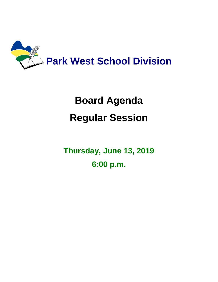

## **Board Agenda Regular Session**

**Thursday, June 13, 2019 6:00 p.m.**